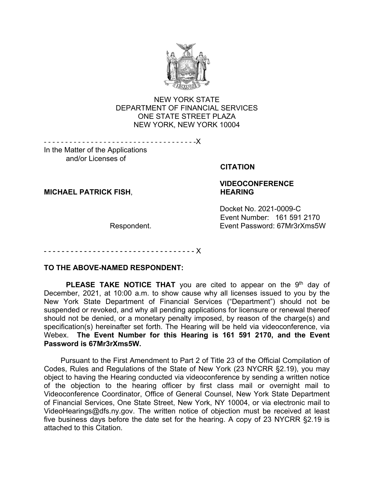

#### **NEW YORK STATE**  ONE STATE STREET PLAZA DEPARTMENT OF FINANCIAL SERVICES NEW YORK, NEW YORK 10004

- - - - - - - - - - - - - - - - - - - - - - - - - - - - - - - - - - - -X

 In the Matter of the Applications and/or Licenses of and/or Licenses of

#### **CITATION**

**MICHAEL PATRICK FISH, THEARING** 

# **VIDEOCONFERENCE**

Docket No. 2021-0009-C Event Number: 161 591 2170 Respondent. Event Password: 67Mr3rXms5W

- - - - - - - - - - - - X

#### **TO THE ABOVE-NAMED RESPONDENT:**

**PLEASE TAKE NOTICE THAT** you are cited to appear on the 9<sup>th</sup> day of suspended or revoked, and why all pending applications for licensure or renewal thereof Webex. **The Event Number for this Hearing is 161 591 2170, and the Event**  December, 2021, at 10:00 a.m. to show cause why all licenses issued to you by the New York State Department of Financial Services ("Department") should not be should not be denied, or a monetary penalty imposed, by reason of the charge(s) and specification(s) hereinafter set forth. The Hearing will be held via videoconference, via **Password is 67Mr3rXms5W.** 

 Pursuant to the First Amendment to Part 2 of Title 23 of the Official Compilation of Codes, Rules and Regulations of the State of New York (23 NYCRR §2.19), you may of the objection to the hearing officer by first class mail or overnight mail to of Financial Services, One State Street, New York, NY 10004, or via electronic mail to [VideoHearings@dfs.ny.gov.](mailto:VideoHearings@dfs.ny.gov) The written notice of objection must be received at least five business days before the date set for the hearing. A copy of 23 NYCRR §2.19 is object to having the Hearing conducted via videoconference by sending a written notice Videoconference Coordinator, Office of General Counsel, New York State Department attached to this Citation.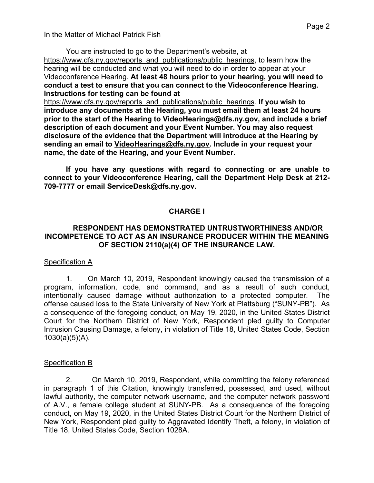You are instructed to go to the Department's website, at  Videoconference Hearing. **At least 48 hours prior to your hearing, you will need to**  <https://www.dfs.ny.gov/reports>and publications/public hearings, to learn how the hearing will be conducted and what you will need to do in order to appear at your **conduct a test to ensure that you can connect to the Videoconference Hearing. Instructions for testing can be found at**

 **introduce any documents at the Hearing, you must email them at least 24 hours description of each document and your Event Number. You may also request name, the date of the Hearing, and your Event Number.**  <https://www.dfs.ny.gov/reports>and publications/public hearings. **If you wish to prior to the start of the Hearing to [VideoHearings@dfs.ny.gov](mailto:VideoHearings@dfs.ny.gov), and include a brief disclosure of the evidence that the Department will introduce at the Hearing by sending an email to [VideoHearings@dfs.ny.gov](mailto:VideoHearings@dfs.ny.gov). Include in your request your** 

 **709-7777 or email [ServiceDesk@dfs.ny.gov](mailto:ServiceDesk@dfs.ny.gov). If you have any questions with regard to connecting or are unable to connect to your Videoconference Hearing, call the Department Help Desk at 212-**

#### **CHARGE I**

#### **OF SECTION 2110(a)(4) OF THE INSURANCE LAW. RESPONDENT HAS DEMONSTRATED UNTRUSTWORTHINESS AND/OR INCOMPETENCE TO ACT AS AN INSURANCE PRODUCER WITHIN THE MEANING**

#### **Specification A**

 intentionally caused damage without authorization to a protected computer. The a consequence of the foregoing conduct, on May 19, 2020, in the United States District  $1030(a)(5)(A)$ . 1. On March 10, 2019, Respondent knowingly caused the transmission of a program, information, code, and command, and as a result of such conduct, offense caused loss to the State University of New York at Plattsburg ("SUNY-PB"). As Court for the Northern District of New York, Respondent pled guilty to Computer Intrusion Causing Damage, a felony, in violation of Title 18, United States Code, Section

#### Specification B

 Title 18, United States Code, Section 1028A. 2. On March 10, 2019, Respondent, while committing the felony referenced in paragraph 1 of this Citation, knowingly transferred, possessed, and used, without lawful authority, the computer network username, and the computer network password of A.V., a female college student at SUNY-PB. As a consequence of the foregoing conduct, on May 19, 2020, in the United States District Court for the Northern District of New York, Respondent pled guilty to Aggravated Identify Theft, a felony, in violation of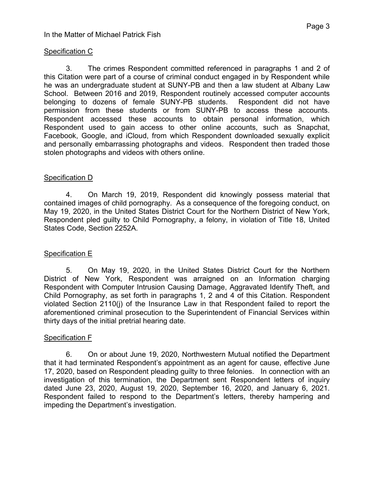# In the Matter of Michael Patrick Fish

#### Specification C

 he was an undergraduate student at SUNY-PB and then a law student at Albany Law School. Between 2016 and 2019, Respondent routinely accessed computer accounts permission from these students or from SUNY-PB to access these accounts. 3. The crimes Respondent committed referenced in paragraphs 1 and 2 of this Citation were part of a course of criminal conduct engaged in by Respondent while belonging to dozens of female SUNY-PB students. Respondent did not have Respondent accessed these accounts to obtain personal information, which Respondent used to gain access to other online accounts, such as Snapchat, Facebook, Google, and iCloud, from which Respondent downloaded sexually explicit and personally embarrassing photographs and videos. Respondent then traded those stolen photographs and videos with others online.

### Specification D

4. On March 19, 2019, Respondent did knowingly possess material that contained images of child pornography. As a consequence of the foregoing conduct, on May 19, 2020, in the United States District Court for the Northern District of New York, Respondent pled guilty to Child Pornography, a felony, in violation of Title 18, United States Code, Section 2252A.

#### **Specification E**

 Child Pornography, as set forth in paragraphs 1, 2 and 4 of this Citation. Respondent thirty days of the initial pretrial hearing date. 5. On May 19, 2020, in the United States District Court for the Northern District of New York, Respondent was arraigned on an Information charging Respondent with Computer Intrusion Causing Damage, Aggravated Identify Theft, and violated Section 2110(j) of the Insurance Law in that Respondent failed to report the aforementioned criminal prosecution to the Superintendent of Financial Services within

#### Specification F

 dated June 23, 2020, August 19, 2020, September 16, 2020, and January 6, 2021. 6. On or about June 19, 2020, Northwestern Mutual notified the Department that it had terminated Respondent's appointment as an agent for cause, effective June 17, 2020, based on Respondent pleading guilty to three felonies. In connection with an investigation of this termination, the Department sent Respondent letters of inquiry Respondent failed to respond to the Department's letters, thereby hampering and impeding the Department's investigation.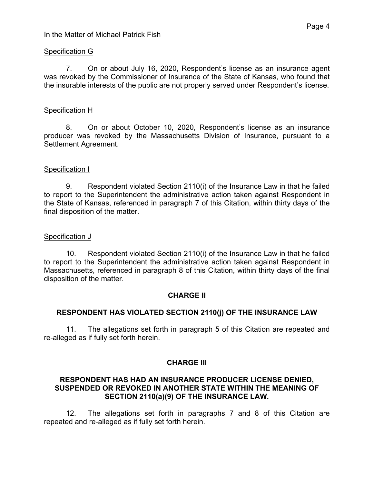#### Specification G

7. On or about July 16, 2020, Respondent's license as an insurance agent was revoked by the Commissioner of Insurance of the State of Kansas, who found that the insurable interests of the public are not properly served under Respondent's license.

#### Specification H

 producer was revoked by the Massachusetts Division of Insurance, pursuant to a 8. On or about October 10, 2020, Respondent's license as an insurance Settlement Agreement.

#### Specification I

final disposition of the matter.<br><u>Specification J</u> 9. Respondent violated Section 2110(i) of the Insurance Law in that he failed to report to the Superintendent the administrative action taken against Respondent in the State of Kansas, referenced in paragraph 7 of this Citation, within thirty days of the

 Massachusetts, referenced in paragraph 8 of this Citation, within thirty days of the final 10. Respondent violated Section 2110(i) of the Insurance Law in that he failed to report to the Superintendent the administrative action taken against Respondent in disposition of the matter.

#### **CHARGE II**

#### **RESPONDENT HAS VIOLATED SECTION 2110(j) OF THE INSURANCE LAW**

11. The allegations set forth in paragraph 5 of this Citation are repeated and re-alleged as if fully set forth herein.

#### **CHARGE III**

#### **SUSPENDED OR REVOKED IN ANOTHER STATE WITHIN THE MEANING OF RESPONDENT HAS HAD AN INSURANCE PRODUCER LICENSE DENIED, SECTION 2110(a)(9) OF THE INSURANCE LAW.**

 repeated and re-alleged as if fully set forth herein. 12. The allegations set forth in paragraphs 7 and 8 of this Citation are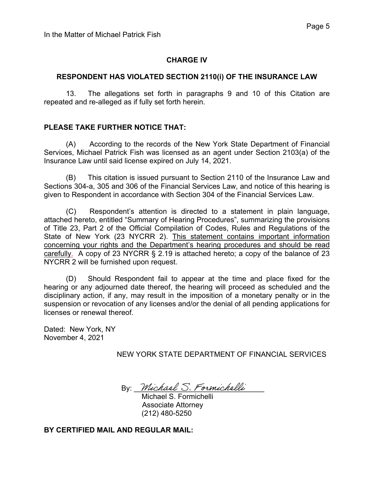## **CHARGE IV**

#### **RESPONDENT HAS VIOLATED SECTION 2110(i) OF THE INSURANCE LAW**

13. The allegations set forth in paragraphs 9 and 10 of this Citation are repeated and re-alleged as if fully set forth herein.

### **PLEASE TAKE FURTHER NOTICE THAT:**

 $(A)$ According to the records of the New York State Department of Financial Services, Michael Patrick Fish was licensed as an agent under Section 2103(a) of the Insurance Law until said license expired on July 14, 2021.

 Sections 304-a, 305 and 306 of the Financial Services Law, and notice of this hearing is given to Respondent in accordance with Section 304 of the Financial Services Law. (B) This citation is issued pursuant to Section 2110 of the Insurance Law and

 $(C)$  of Title 23, Part 2 of the Official Compilation of Codes, Rules and Regulations of the concerning your rights and the Department's hearing procedures and should be read carefully. A copy of 23 NYCRR § 2.19 is attached hereto; a copy of the balance of 23 NYCRR 2 will be furnished upon request. Respondent's attention is directed to a statement in plain language, attached hereto, entitled "Summary of Hearing Procedures", summarizing the provisions State of New York (23 NYCRR 2). This statement contains important information

 NYCRR 2 will be furnished upon request. (D) Should Respondent fail to appear at the time and place fixed for the disciplinary action, if any, may result in the imposition of a monetary penalty or in the hearing or any adjourned date thereof, the hearing will proceed as scheduled and the suspension or revocation of any licenses and/or the denial of all pending applications for licenses or renewal thereof.

 Dated: New York, NY November 4, 2021

NEW YORK STATE DEPARTMENT OF FINANCIAL SERVICES

By: Michael S. Formichelli

Michael S. Formichelli Associate Attorney (212) 480-5250

**BY CERTIFIED MAIL AND REGULAR MAIL:**